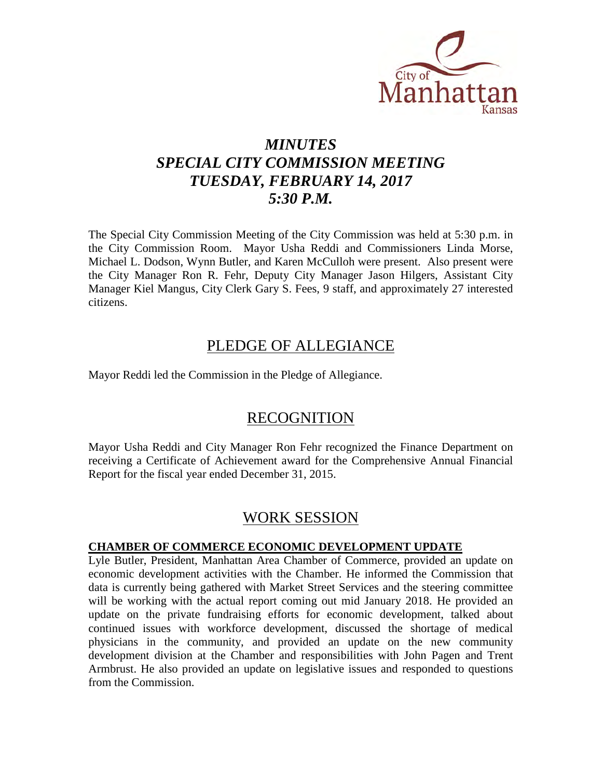

# *MINUTES SPECIAL CITY COMMISSION MEETING TUESDAY, FEBRUARY 14, 2017 5:30 P.M.*

The Special City Commission Meeting of the City Commission was held at 5:30 p.m. in the City Commission Room. Mayor Usha Reddi and Commissioners Linda Morse, Michael L. Dodson, Wynn Butler, and Karen McCulloh were present. Also present were the City Manager Ron R. Fehr, Deputy City Manager Jason Hilgers, Assistant City Manager Kiel Mangus, City Clerk Gary S. Fees, 9 staff, and approximately 27 interested citizens.

### PLEDGE OF ALLEGIANCE

Mayor Reddi led the Commission in the Pledge of Allegiance.

# RECOGNITION

Mayor Usha Reddi and City Manager Ron Fehr recognized the Finance Department on receiving a Certificate of Achievement award for the Comprehensive Annual Financial Report for the fiscal year ended December 31, 2015.

## WORK SESSION

#### **CHAMBER OF COMMERCE ECONOMIC DEVELOPMENT UPDATE**

Lyle Butler, President, Manhattan Area Chamber of Commerce, provided an update on economic development activities with the Chamber. He informed the Commission that data is currently being gathered with Market Street Services and the steering committee will be working with the actual report coming out mid January 2018. He provided an update on the private fundraising efforts for economic development, talked about continued issues with workforce development, discussed the shortage of medical physicians in the community, and provided an update on the new community development division at the Chamber and responsibilities with John Pagen and Trent Armbrust. He also provided an update on legislative issues and responded to questions from the Commission.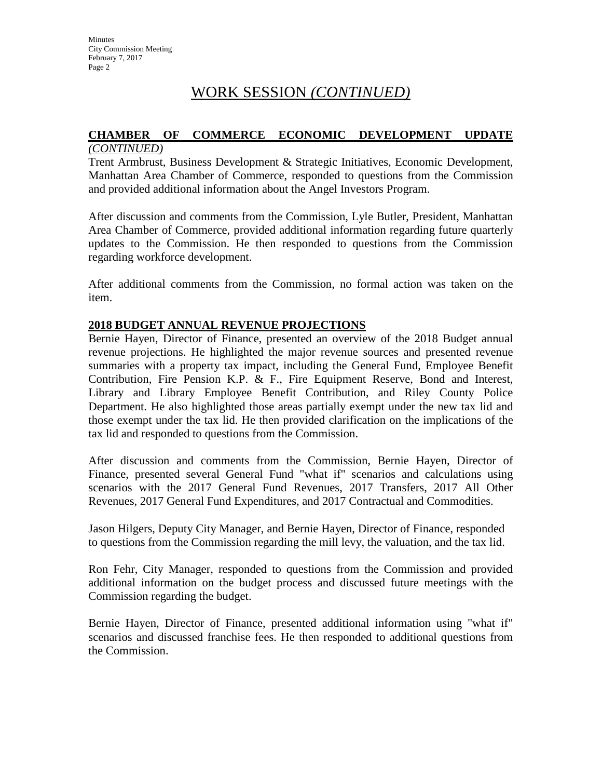# WORK SESSION *(CONTINUED)*

#### **CHAMBER OF COMMERCE ECONOMIC DEVELOPMENT UPDATE** *(CONTINUED)*

Trent Armbrust, Business Development & Strategic Initiatives, Economic Development, Manhattan Area Chamber of Commerce, responded to questions from the Commission and provided additional information about the Angel Investors Program.

After discussion and comments from the Commission, Lyle Butler, President, Manhattan Area Chamber of Commerce, provided additional information regarding future quarterly updates to the Commission. He then responded to questions from the Commission regarding workforce development.

After additional comments from the Commission, no formal action was taken on the item.

#### **2018 BUDGET ANNUAL REVENUE PROJECTIONS**

Bernie Hayen, Director of Finance, presented an overview of the 2018 Budget annual revenue projections. He highlighted the major revenue sources and presented revenue summaries with a property tax impact, including the General Fund, Employee Benefit Contribution, Fire Pension K.P. & F., Fire Equipment Reserve, Bond and Interest, Library and Library Employee Benefit Contribution, and Riley County Police Department. He also highlighted those areas partially exempt under the new tax lid and those exempt under the tax lid. He then provided clarification on the implications of the tax lid and responded to questions from the Commission.

After discussion and comments from the Commission, Bernie Hayen, Director of Finance, presented several General Fund "what if" scenarios and calculations using scenarios with the 2017 General Fund Revenues, 2017 Transfers, 2017 All Other Revenues, 2017 General Fund Expenditures, and 2017 Contractual and Commodities.

Jason Hilgers, Deputy City Manager, and Bernie Hayen, Director of Finance, responded to questions from the Commission regarding the mill levy, the valuation, and the tax lid.

Ron Fehr, City Manager, responded to questions from the Commission and provided additional information on the budget process and discussed future meetings with the Commission regarding the budget.

Bernie Hayen, Director of Finance, presented additional information using "what if" scenarios and discussed franchise fees. He then responded to additional questions from the Commission.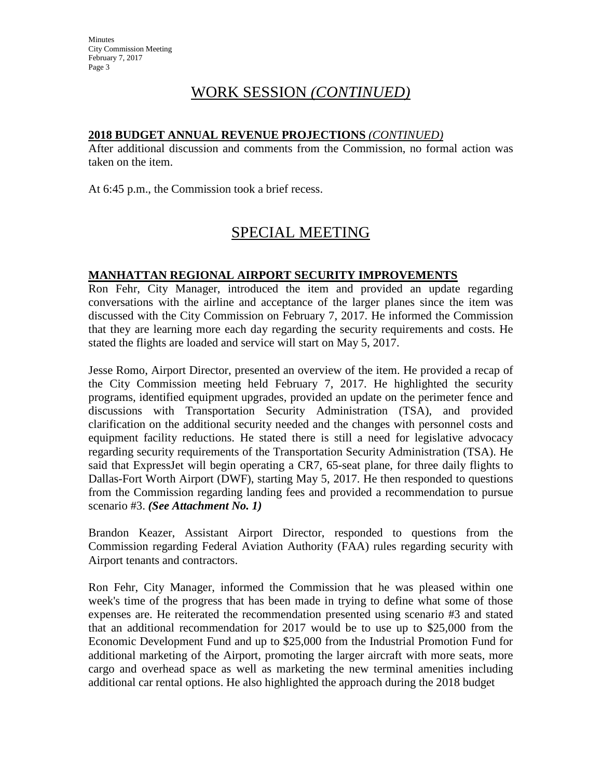### WORK SESSION *(CONTINUED)*

#### **2018 BUDGET ANNUAL REVENUE PROJECTIONS** *(CONTINUED)*

After additional discussion and comments from the Commission, no formal action was taken on the item.

At 6:45 p.m., the Commission took a brief recess.

# SPECIAL MEETING

#### **MANHATTAN REGIONAL AIRPORT SECURITY IMPROVEMENTS**

Ron Fehr, City Manager, introduced the item and provided an update regarding conversations with the airline and acceptance of the larger planes since the item was discussed with the City Commission on February 7, 2017. He informed the Commission that they are learning more each day regarding the security requirements and costs. He stated the flights are loaded and service will start on May 5, 2017.

Jesse Romo, Airport Director, presented an overview of the item. He provided a recap of the City Commission meeting held February 7, 2017. He highlighted the security programs, identified equipment upgrades, provided an update on the perimeter fence and discussions with Transportation Security Administration (TSA), and provided clarification on the additional security needed and the changes with personnel costs and equipment facility reductions. He stated there is still a need for legislative advocacy regarding security requirements of the Transportation Security Administration (TSA). He said that ExpressJet will begin operating a CR7, 65-seat plane, for three daily flights to Dallas-Fort Worth Airport (DWF), starting May 5, 2017. He then responded to questions from the Commission regarding landing fees and provided a recommendation to pursue scenario #3. *(See Attachment No. 1)*

Brandon Keazer, Assistant Airport Director, responded to questions from the Commission regarding Federal Aviation Authority (FAA) rules regarding security with Airport tenants and contractors.

Ron Fehr, City Manager, informed the Commission that he was pleased within one week's time of the progress that has been made in trying to define what some of those expenses are. He reiterated the recommendation presented using scenario #3 and stated that an additional recommendation for 2017 would be to use up to \$25,000 from the Economic Development Fund and up to \$25,000 from the Industrial Promotion Fund for additional marketing of the Airport, promoting the larger aircraft with more seats, more cargo and overhead space as well as marketing the new terminal amenities including additional car rental options. He also highlighted the approach during the 2018 budget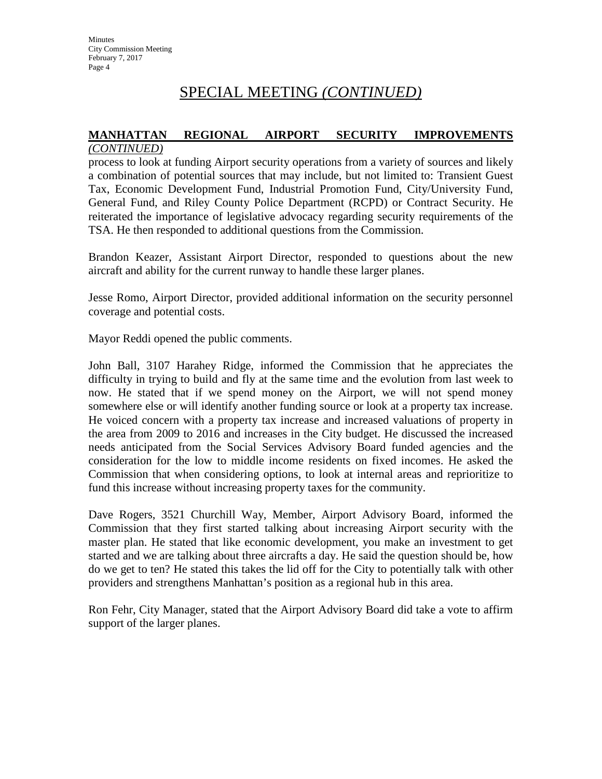# SPECIAL MEETING *(CONTINUED)*

#### **MANHATTAN REGIONAL AIRPORT SECURITY IMPROVEMENTS** *(CONTINUED)*

process to look at funding Airport security operations from a variety of sources and likely a combination of potential sources that may include, but not limited to: Transient Guest Tax, Economic Development Fund, Industrial Promotion Fund, City/University Fund, General Fund, and Riley County Police Department (RCPD) or Contract Security. He reiterated the importance of legislative advocacy regarding security requirements of the TSA. He then responded to additional questions from the Commission.

Brandon Keazer, Assistant Airport Director, responded to questions about the new aircraft and ability for the current runway to handle these larger planes.

Jesse Romo, Airport Director, provided additional information on the security personnel coverage and potential costs.

Mayor Reddi opened the public comments.

John Ball, 3107 Harahey Ridge, informed the Commission that he appreciates the difficulty in trying to build and fly at the same time and the evolution from last week to now. He stated that if we spend money on the Airport, we will not spend money somewhere else or will identify another funding source or look at a property tax increase. He voiced concern with a property tax increase and increased valuations of property in the area from 2009 to 2016 and increases in the City budget. He discussed the increased needs anticipated from the Social Services Advisory Board funded agencies and the consideration for the low to middle income residents on fixed incomes. He asked the Commission that when considering options, to look at internal areas and reprioritize to fund this increase without increasing property taxes for the community.

Dave Rogers, 3521 Churchill Way, Member, Airport Advisory Board, informed the Commission that they first started talking about increasing Airport security with the master plan. He stated that like economic development, you make an investment to get started and we are talking about three aircrafts a day. He said the question should be, how do we get to ten? He stated this takes the lid off for the City to potentially talk with other providers and strengthens Manhattan's position as a regional hub in this area.

Ron Fehr, City Manager, stated that the Airport Advisory Board did take a vote to affirm support of the larger planes.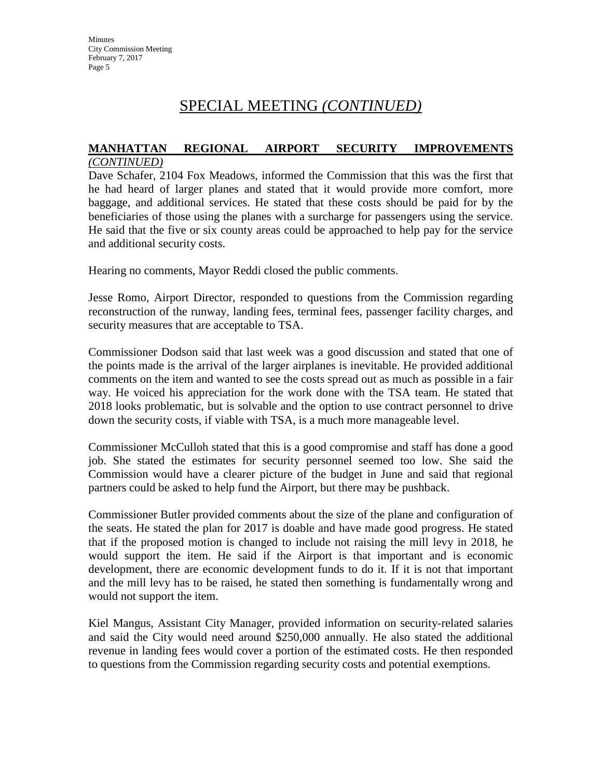**Minutes** City Commission Meeting February 7, 2017 Page 5

# SPECIAL MEETING *(CONTINUED)*

#### **MANHATTAN REGIONAL AIRPORT SECURITY IMPROVEMENTS** *(CONTINUED)*

Dave Schafer, 2104 Fox Meadows, informed the Commission that this was the first that he had heard of larger planes and stated that it would provide more comfort, more baggage, and additional services. He stated that these costs should be paid for by the beneficiaries of those using the planes with a surcharge for passengers using the service. He said that the five or six county areas could be approached to help pay for the service and additional security costs.

Hearing no comments, Mayor Reddi closed the public comments.

Jesse Romo, Airport Director, responded to questions from the Commission regarding reconstruction of the runway, landing fees, terminal fees, passenger facility charges, and security measures that are acceptable to TSA.

Commissioner Dodson said that last week was a good discussion and stated that one of the points made is the arrival of the larger airplanes is inevitable. He provided additional comments on the item and wanted to see the costs spread out as much as possible in a fair way. He voiced his appreciation for the work done with the TSA team. He stated that 2018 looks problematic, but is solvable and the option to use contract personnel to drive down the security costs, if viable with TSA, is a much more manageable level.

Commissioner McCulloh stated that this is a good compromise and staff has done a good job. She stated the estimates for security personnel seemed too low. She said the Commission would have a clearer picture of the budget in June and said that regional partners could be asked to help fund the Airport, but there may be pushback.

Commissioner Butler provided comments about the size of the plane and configuration of the seats. He stated the plan for 2017 is doable and have made good progress. He stated that if the proposed motion is changed to include not raising the mill levy in 2018, he would support the item. He said if the Airport is that important and is economic development, there are economic development funds to do it. If it is not that important and the mill levy has to be raised, he stated then something is fundamentally wrong and would not support the item.

Kiel Mangus, Assistant City Manager, provided information on security-related salaries and said the City would need around \$250,000 annually. He also stated the additional revenue in landing fees would cover a portion of the estimated costs. He then responded to questions from the Commission regarding security costs and potential exemptions.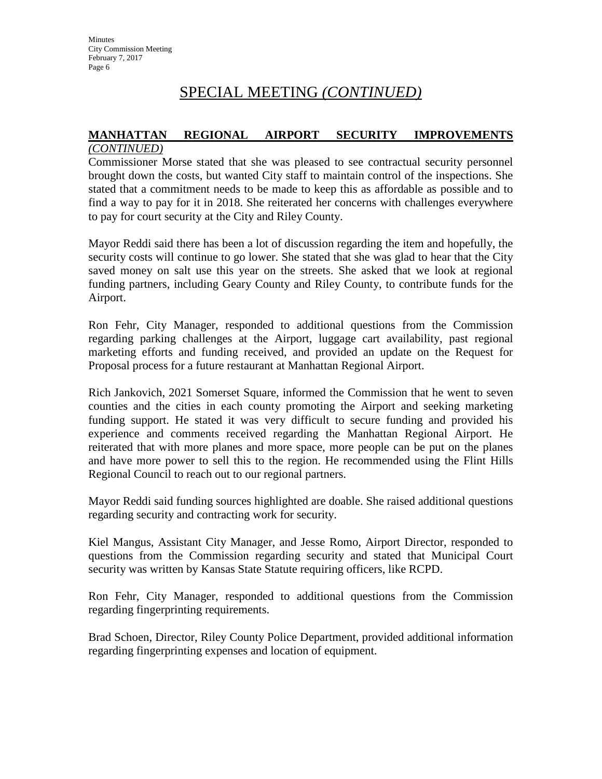## SPECIAL MEETING *(CONTINUED)*

#### **MANHATTAN REGIONAL AIRPORT SECURITY IMPROVEMENTS** *(CONTINUED)*

Commissioner Morse stated that she was pleased to see contractual security personnel brought down the costs, but wanted City staff to maintain control of the inspections. She stated that a commitment needs to be made to keep this as affordable as possible and to find a way to pay for it in 2018. She reiterated her concerns with challenges everywhere to pay for court security at the City and Riley County.

Mayor Reddi said there has been a lot of discussion regarding the item and hopefully, the security costs will continue to go lower. She stated that she was glad to hear that the City saved money on salt use this year on the streets. She asked that we look at regional funding partners, including Geary County and Riley County, to contribute funds for the Airport.

Ron Fehr, City Manager, responded to additional questions from the Commission regarding parking challenges at the Airport, luggage cart availability, past regional marketing efforts and funding received, and provided an update on the Request for Proposal process for a future restaurant at Manhattan Regional Airport.

Rich Jankovich, 2021 Somerset Square, informed the Commission that he went to seven counties and the cities in each county promoting the Airport and seeking marketing funding support. He stated it was very difficult to secure funding and provided his experience and comments received regarding the Manhattan Regional Airport. He reiterated that with more planes and more space, more people can be put on the planes and have more power to sell this to the region. He recommended using the Flint Hills Regional Council to reach out to our regional partners.

Mayor Reddi said funding sources highlighted are doable. She raised additional questions regarding security and contracting work for security.

Kiel Mangus, Assistant City Manager, and Jesse Romo, Airport Director, responded to questions from the Commission regarding security and stated that Municipal Court security was written by Kansas State Statute requiring officers, like RCPD.

Ron Fehr, City Manager, responded to additional questions from the Commission regarding fingerprinting requirements.

Brad Schoen, Director, Riley County Police Department, provided additional information regarding fingerprinting expenses and location of equipment.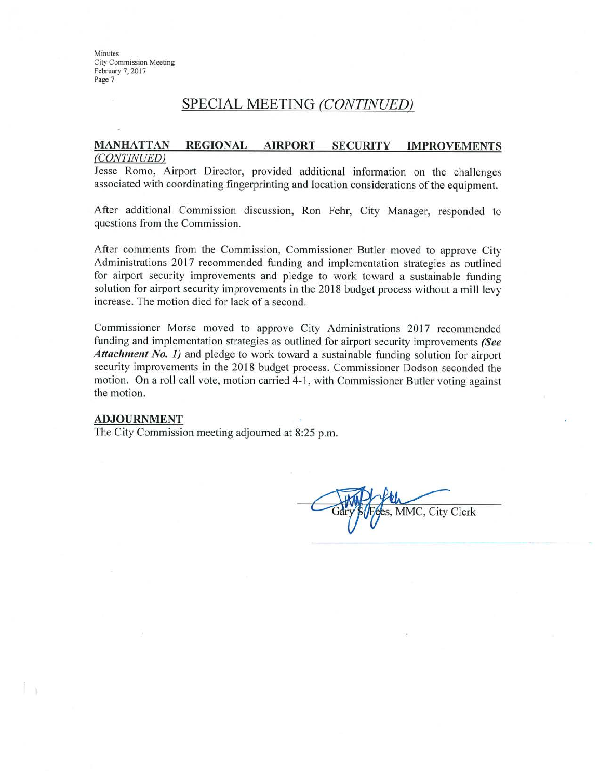**Minutes City Commission Meeting** February 7, 2017 Page 7

#### SPECIAL MEETING (CONTINUED)

#### **MANHATTAN REGIONAL AIRPORT SECURITY IMPROVEMENTS** (CONTINUED)

Jesse Romo, Airport Director, provided additional information on the challenges associated with coordinating fingerprinting and location considerations of the equipment.

After additional Commission discussion, Ron Fehr, City Manager, responded to questions from the Commission.

After comments from the Commission, Commissioner Butler moved to approve City Administrations 2017 recommended funding and implementation strategies as outlined for airport security improvements and pledge to work toward a sustainable funding solution for airport security improvements in the 2018 budget process without a mill levy increase. The motion died for lack of a second.

Commissioner Morse moved to approve City Administrations 2017 recommended funding and implementation strategies as outlined for airport security improvements (See Attachment No. 1) and pledge to work toward a sustainable funding solution for airport security improvements in the 2018 budget process. Commissioner Dodson seconded the motion. On a roll call vote, motion carried 4-1, with Commissioner Butler voting against the motion.

#### **ADJOURNMENT**

The City Commission meeting adjourned at 8:25 p.m.

MMC, City Clerk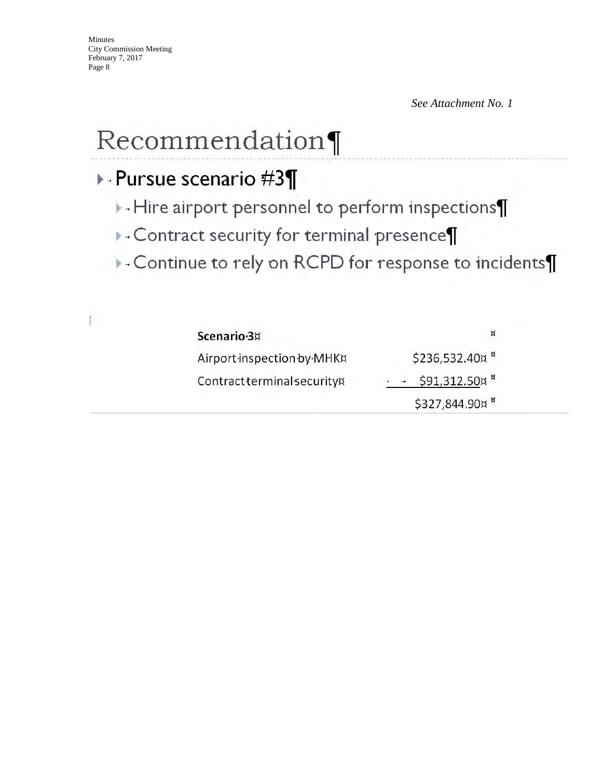*See Attachment No. 1* 

# Recommendation¶

# ▶ - Pursue scenario #3¶

- $\blacktriangleright$  Hire airport personnel to perform inspections $\P$
- ▶ Contract security for terminal presence¶
- Continue to rely on RCPD for response to incidents¶

|   | ٠ |
|---|---|
| ٠ |   |
| ۰ | W |
| ٠ |   |
|   |   |

| Scenario-3¤                 | ¤                         |
|-----------------------------|---------------------------|
| Airport inspection by MHK¤  | \$236,532.40¤ ×           |
| Contract terminal securityx | \$91,312.50¤ <sup>¤</sup> |
|                             | \$327,844.90¤ *           |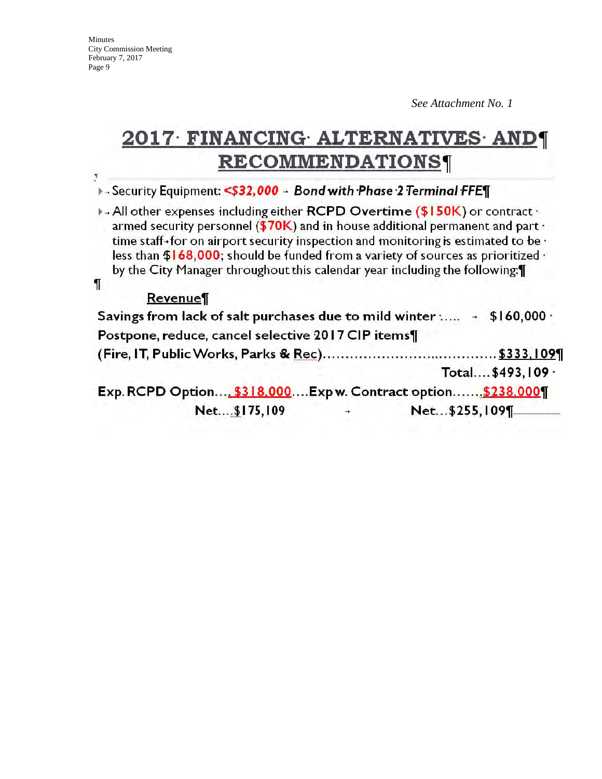City Commission Meeting February 7, 2017 Page 9

Minutes

Ţ

ſ

*See Attachment No. 1* 

# 2017 FINANCING ALTERNATIVES AND **RECOMMENDATIONS**

> Security Equipment: <\$32,000 - Bond with Phase 2 Terminal FFE¶

All other expenses including either RCPD Overtime (\$150K) or contract . armed security personnel ( $$70K$ ) and in house additional permanent and part  $\cdot$ time staff-for on airport security inspection and monitoring is estimated to be  $\cdot$ less than  $$168,000$ ; should be funded from a variety of sources as prioritized  $\cdot$ by the City Manager throughout this calendar year including the following: [1]

#### Revenue

| Savings from lack of salt purchases due to mild winter : - \$160,000 · |               |               |                    |
|------------------------------------------------------------------------|---------------|---------------|--------------------|
| Postpone, reduce, cancel selective 2017 CIP items¶                     |               |               |                    |
|                                                                        |               |               |                    |
|                                                                        |               |               | Total \$493, 109 · |
| Exp. RCPD Option \$318,000Exp w. Contract option \$238,000¶            |               |               |                    |
| Net\$175,109                                                           | $\rightarrow$ | Net\$255,109¶ |                    |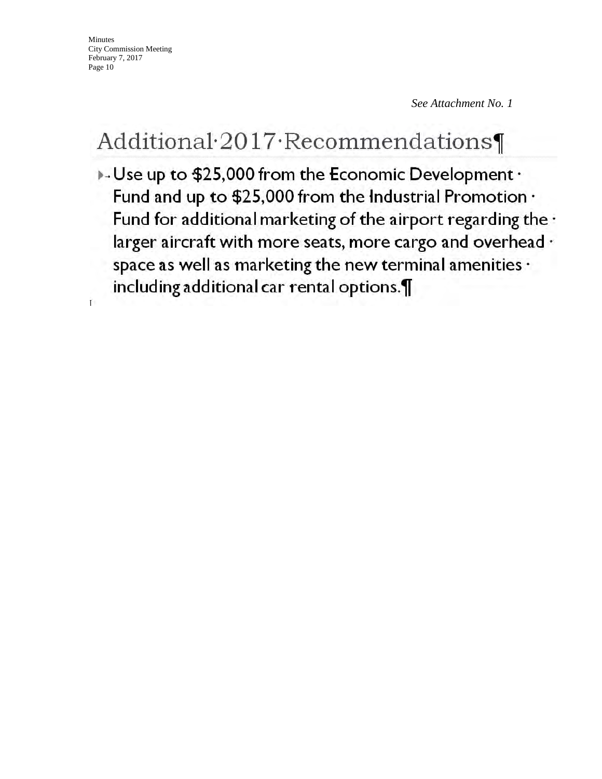Minutes City Commission Meeting February 7, 2017 Page 10

*See Attachment No. 1* 

# Additional 2017 Recommendations

 $\overline{\phantom{a}}$  Use up to \$25,000 from the Economic Development  $\overline{\phantom{a}}$ Fund and up to \$25,000 from the Industrial Promotion . Fund for additional marketing of the airport regarding the . larger aircraft with more seats, more cargo and overhead · space as well as marketing the new terminal amenities · including additional car rental options.  $\mathbf{I}$